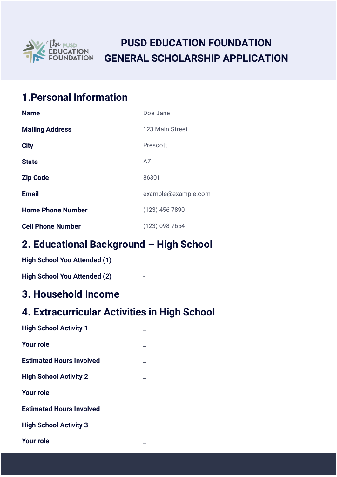

# **PUSD EDUCATION FOUNDATION GENERAL SCHOLARSHIP APPLICATION**

# **1.Personal Information**

| <b>Name</b>              | Doe Jane            |
|--------------------------|---------------------|
| <b>Mailing Address</b>   | 123 Main Street     |
| <b>City</b>              | Prescott            |
| <b>State</b>             | AZ                  |
| <b>Zip Code</b>          | 86301               |
| <b>Email</b>             | example@example.com |
| <b>Home Phone Number</b> | $(123)$ 456-7890    |
| <b>Cell Phone Number</b> | (123) 098-7654      |

### **2. Educational Background – High School**

| <b>High School You Attended (1)</b> |  |
|-------------------------------------|--|
| <b>High School You Attended (2)</b> |  |

#### **3. Household Income**

# **4. Extracurricular Activities in High School**

| <b>High School Activity 1</b>   |  |
|---------------------------------|--|
| <b>Your role</b>                |  |
| <b>Estimated Hours Involved</b> |  |
| <b>High School Activity 2</b>   |  |
| <b>Your role</b>                |  |
| <b>Estimated Hours Involved</b> |  |
| <b>High School Activity 3</b>   |  |
| <b>Your role</b>                |  |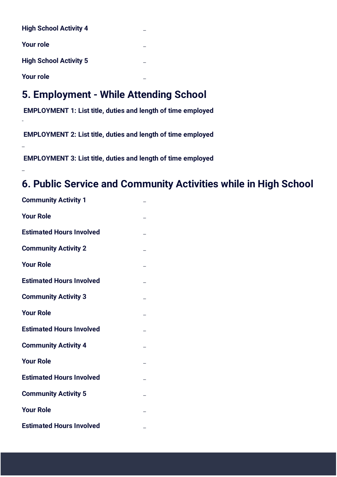| <b>High School Activity 4</b> |  |
|-------------------------------|--|
| <b>Your role</b>              |  |
| <b>High School Activity 5</b> |  |
| <b>Your role</b>              |  |

-

\_

\_

# **5. Employment - While Attending School**

 **EMPLOYMENT 1: List title, duties and length of time employed** 

 **EMPLOYMENT 2: List title, duties and length of time employed** 

 **EMPLOYMENT 3: List title, duties and length of time employed** 

### **6. Public Service and Community Activities while in High School**

| <b>Community Activity 1</b>     |  |
|---------------------------------|--|
| <b>Your Role</b>                |  |
| <b>Estimated Hours Involved</b> |  |
| <b>Community Activity 2</b>     |  |
| <b>Your Role</b>                |  |
| <b>Estimated Hours Involved</b> |  |
| <b>Community Activity 3</b>     |  |
| <b>Your Role</b>                |  |
| <b>Estimated Hours Involved</b> |  |
| <b>Community Activity 4</b>     |  |
| <b>Your Role</b>                |  |
| <b>Estimated Hours Involved</b> |  |
| <b>Community Activity 5</b>     |  |
| <b>Your Role</b>                |  |
| <b>Estimated Hours Involved</b> |  |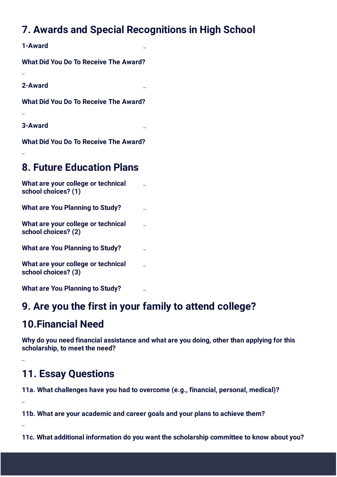# **7. Awards and Special Recognitions in High School**

**1-Award** \_

**What Did You Do To Receive The Award?**

**2-Award** \_

\_

\_

\_

\_

\_

\_

**What Did You Do To Receive The Award?**

**3-Award** \_

**What Did You Do To Receive The Award?**

### **8. Future Education Plans**

| What are your college or technical<br>school choices? (1) |  |
|-----------------------------------------------------------|--|
| <b>What are You Planning to Study?</b>                    |  |
| What are your college or technical<br>school choices? (2) |  |
| <b>What are You Planning to Study?</b>                    |  |
| What are your college or technical<br>school choices? (3) |  |
| <b>What are You Planning to Study?</b>                    |  |

#### **9. Are you the first in your family to attend college?**

#### **10.Financial Need**

**Why do you need financial assistance and what are you doing, other than applying for this scholarship, to meet the need?** 

## **11. Essay Questions**

**11a. What challenges have you had to overcome (e.g., financial, personal, medical)?**

**11b. What are your academic and career goals and your plans to achieve them?**

**11c. What additional information do you want the scholarship committee to know about you?**